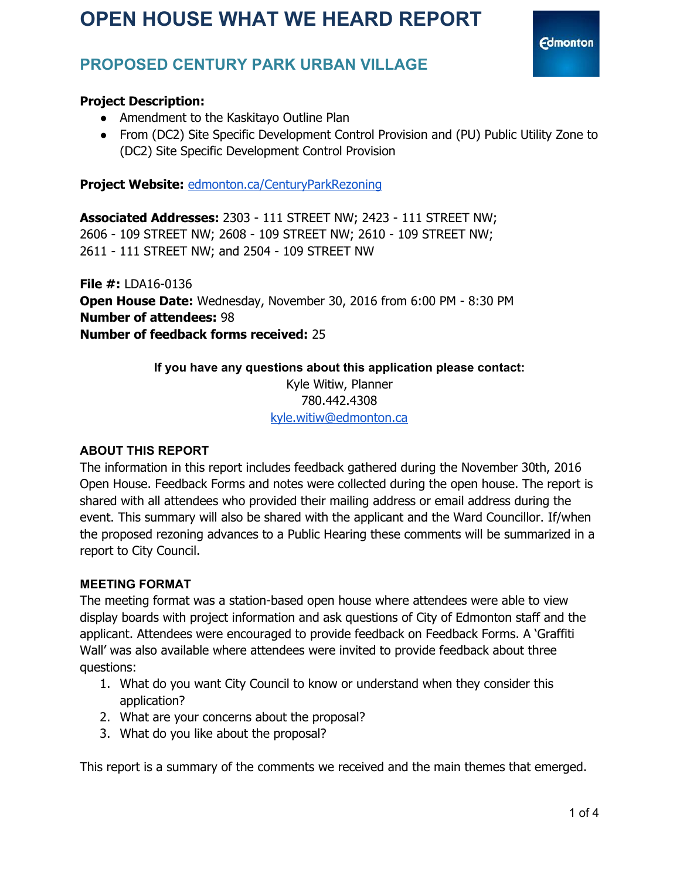

# **PROPOSED CENTURY PARK URBAN VILLAGE**

## **Project Description:**

- Amendment to the Kaskitayo Outline Plan
- From (DC2) Site Specific Development Control Provision and (PU) Public Utility Zone to (DC2) Site Specific Development Control Provision

Project Website: [edmonton.ca/CenturyParkRezoning](http://edmonton.ca/CenturyParkRezoning)

**Associated Addresses:** 2303 - 111 STREET NW; 2423 - 111 STREET NW; 2606 - 109 STREET NW; 2608 - 109 STREET NW; 2610 - 109 STREET NW; 2611 - 111 STREET NW; and 2504 - 109 STREET NW

**File #:** LDA16-0136 **Open House Date:** Wednesday, November 30, 2016 from 6:00 PM - 8:30 PM **Number of attendees:** 98 **Number of feedback forms received:** 25

> **If you have any questions about this application please contact:** Kyle Witiw, Planner 780.442.4308 [kyle.witiw@edmonton.ca](mailto:kyle.witiw@edmonton.ca)

#### **ABOUT THIS REPORT**

The information in this report includes feedback gathered during the November 30th, 2016 Open House. Feedback Forms and notes were collected during the open house. The report is shared with all attendees who provided their mailing address or email address during the event. This summary will also be shared with the applicant and the Ward Councillor. If/when the proposed rezoning advances to a Public Hearing these comments will be summarized in a report to City Council.

#### **MEETING FORMAT**

The meeting format was a station-based open house where attendees were able to view display boards with project information and ask questions of City of Edmonton staff and the applicant. Attendees were encouraged to provide feedback on Feedback Forms. A 'Graffiti Wall' was also available where attendees were invited to provide feedback about three questions:

- 1. What do you want City Council to know or understand when they consider this application?
- 2. What are your concerns about the proposal?
- 3. What do you like about the proposal?

This report is a summary of the comments we received and the main themes that emerged.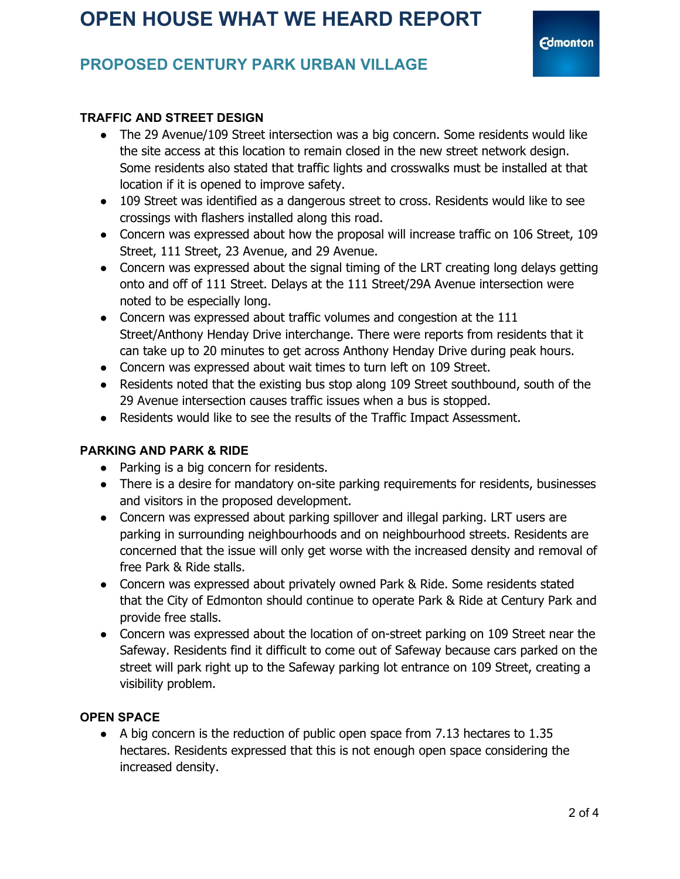# **PROPOSED CENTURY PARK URBAN VILLAGE**

## **TRAFFIC AND STREET DESIGN**

- The 29 Avenue/109 Street intersection was a big concern. Some residents would like the site access at this location to remain closed in the new street network design. Some residents also stated that traffic lights and crosswalks must be installed at that location if it is opened to improve safety.
- 109 Street was identified as a dangerous street to cross. Residents would like to see crossings with flashers installed along this road.
- Concern was expressed about how the proposal will increase traffic on 106 Street, 109 Street, 111 Street, 23 Avenue, and 29 Avenue.
- Concern was expressed about the signal timing of the LRT creating long delays getting onto and off of 111 Street. Delays at the 111 Street/29A Avenue intersection were noted to be especially long.
- Concern was expressed about traffic volumes and congestion at the 111 Street/Anthony Henday Drive interchange. There were reports from residents that it can take up to 20 minutes to get across Anthony Henday Drive during peak hours.
- Concern was expressed about wait times to turn left on 109 Street.
- Residents noted that the existing bus stop along 109 Street southbound, south of the 29 Avenue intersection causes traffic issues when a bus is stopped.
- Residents would like to see the results of the Traffic Impact Assessment.

## **PARKING AND PARK & RIDE**

- Parking is a big concern for residents.
- There is a desire for mandatory on-site parking requirements for residents, businesses and visitors in the proposed development.
- Concern was expressed about parking spillover and illegal parking. LRT users are parking in surrounding neighbourhoods and on neighbourhood streets. Residents are concerned that the issue will only get worse with the increased density and removal of free Park & Ride stalls.
- Concern was expressed about privately owned Park & Ride. Some residents stated that the City of Edmonton should continue to operate Park & Ride at Century Park and provide free stalls.
- Concern was expressed about the location of on-street parking on 109 Street near the Safeway. Residents find it difficult to come out of Safeway because cars parked on the street will park right up to the Safeway parking lot entrance on 109 Street, creating a visibility problem.

## **OPEN SPACE**

● A big concern is the reduction of public open space from 7.13 hectares to 1.35 hectares. Residents expressed that this is not enough open space considering the increased density.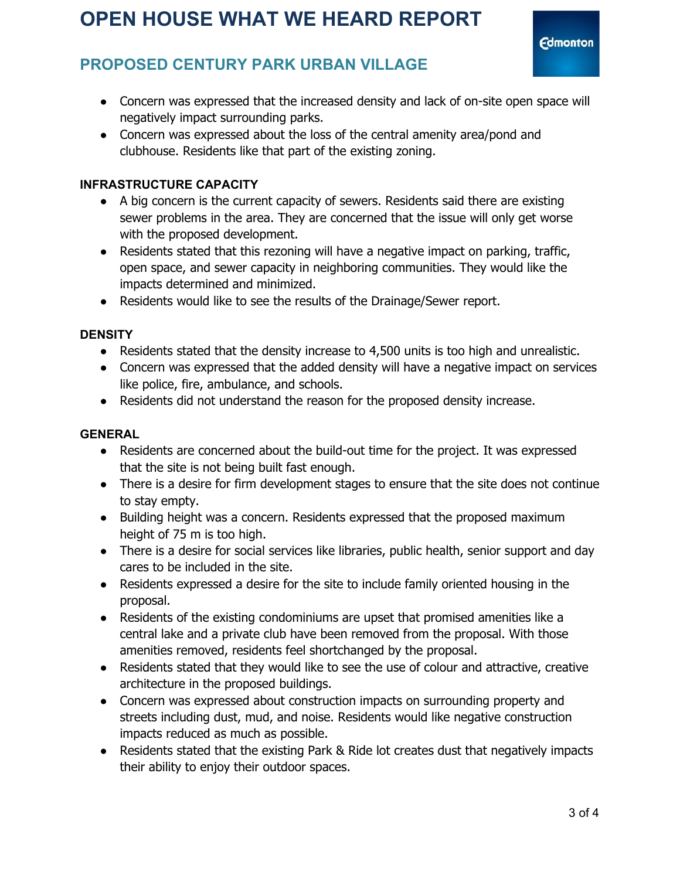**Edmonton** 

# **PROPOSED CENTURY PARK URBAN VILLAGE**

- Concern was expressed that the increased density and lack of on-site open space will negatively impact surrounding parks.
- Concern was expressed about the loss of the central amenity area/pond and clubhouse. Residents like that part of the existing zoning.

## **INFRASTRUCTURE CAPACITY**

- A big concern is the current capacity of sewers. Residents said there are existing sewer problems in the area. They are concerned that the issue will only get worse with the proposed development.
- Residents stated that this rezoning will have a negative impact on parking, traffic, open space, and sewer capacity in neighboring communities. They would like the impacts determined and minimized.
- Residents would like to see the results of the Drainage/Sewer report.

## **DENSITY**

- Residents stated that the density increase to 4,500 units is too high and unrealistic.
- Concern was expressed that the added density will have a negative impact on services like police, fire, ambulance, and schools.
- Residents did not understand the reason for the proposed density increase.

## **GENERAL**

- Residents are concerned about the build-out time for the project. It was expressed that the site is not being built fast enough.
- There is a desire for firm development stages to ensure that the site does not continue to stay empty.
- Building height was a concern. Residents expressed that the proposed maximum height of 75 m is too high.
- There is a desire for social services like libraries, public health, senior support and day cares to be included in the site.
- Residents expressed a desire for the site to include family oriented housing in the proposal.
- Residents of the existing condominiums are upset that promised amenities like a central lake and a private club have been removed from the proposal. With those amenities removed, residents feel shortchanged by the proposal.
- Residents stated that they would like to see the use of colour and attractive, creative architecture in the proposed buildings.
- Concern was expressed about construction impacts on surrounding property and streets including dust, mud, and noise. Residents would like negative construction impacts reduced as much as possible.
- Residents stated that the existing Park & Ride lot creates dust that negatively impacts their ability to enjoy their outdoor spaces.